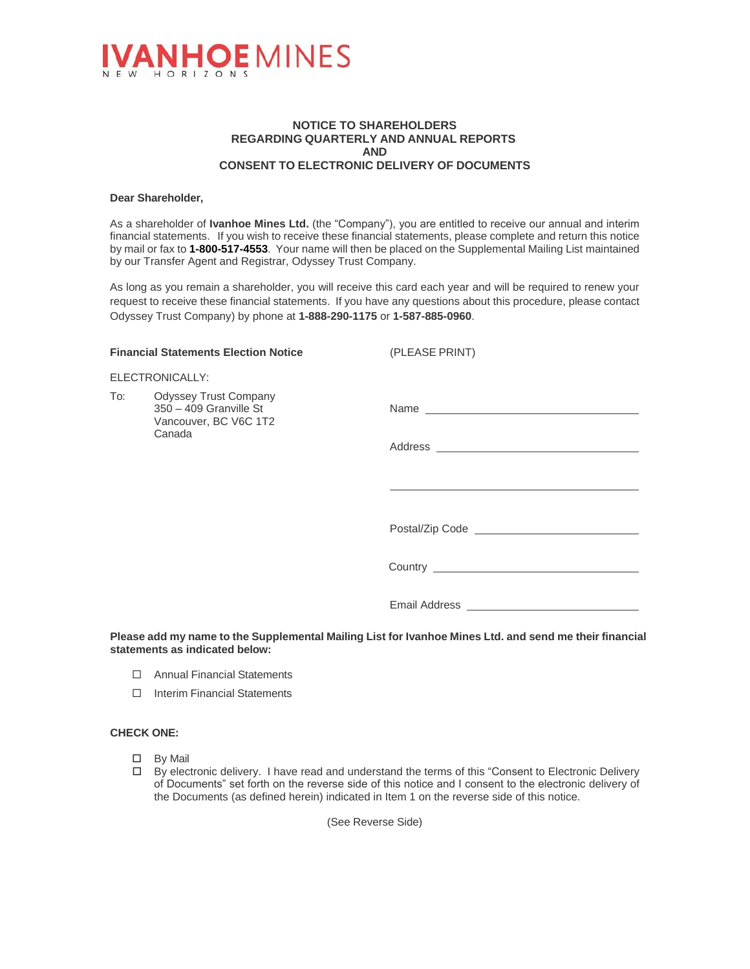

### **NOTICE TO SHAREHOLDERS REGARDING QUARTERLY AND ANNUAL REPORTS AND CONSENT TO ELECTRONIC DELIVERY OF DOCUMENTS**

#### **Dear Shareholder,**

As a shareholder of **Ivanhoe Mines Ltd.** (the "Company"), you are entitled to receive our annual and interim financial statements. If you wish to receive these financial statements, please complete and return this notice by mail or fax to **1-800-517-4553**. Your name will then be placed on the Supplemental Mailing List maintained by our Transfer Agent and Registrar, Odyssey Trust Company.

As long as you remain a shareholder, you will receive this card each year and will be required to renew your request to receive these financial statements. If you have any questions about this procedure, please contact Odyssey Trust Company) by phone at **1-888-290-1175** or **1-587-885-0960**.

**Financial Statements Election Notice** (PLEASE PRINT)

| <b>Financial Statements Election Notice</b> |                                                                                           | (PLEASE PRINT)                                                                                                                                                                                                                       |
|---------------------------------------------|-------------------------------------------------------------------------------------------|--------------------------------------------------------------------------------------------------------------------------------------------------------------------------------------------------------------------------------------|
| ELECTRONICALLY:                             |                                                                                           |                                                                                                                                                                                                                                      |
| To:                                         | <b>Odyssey Trust Company</b><br>350 - 409 Granville St<br>Vancouver, BC V6C 1T2<br>Canada | Name experience and a series of the series of the series of the series of the series of the series of the series of the series of the series of the series of the series of the series of the series of the series of the seri       |
|                                             |                                                                                           |                                                                                                                                                                                                                                      |
|                                             |                                                                                           |                                                                                                                                                                                                                                      |
|                                             |                                                                                           | Postal/Zip Code <u>expression and the set of the set of the set of the set of the set of the set of the set of the set of the set of the set of the set of the set of the set of the set of the set of the set of the set of the</u> |
|                                             |                                                                                           |                                                                                                                                                                                                                                      |
|                                             |                                                                                           |                                                                                                                                                                                                                                      |
|                                             |                                                                                           |                                                                                                                                                                                                                                      |

**Please add my name to the Supplemental Mailing List for Ivanhoe Mines Ltd. and send me their financial statements as indicated below:**

- □ Annual Financial Statements
- □ Interim Financial Statements

#### **CHECK ONE:**

- By Mail
- $\Box$  By electronic delivery. I have read and understand the terms of this "Consent to Electronic Delivery of Documents" set forth on the reverse side of this notice and I consent to the electronic delivery of the Documents (as defined herein) indicated in Item 1 on the reverse side of this notice.

(See Reverse Side)